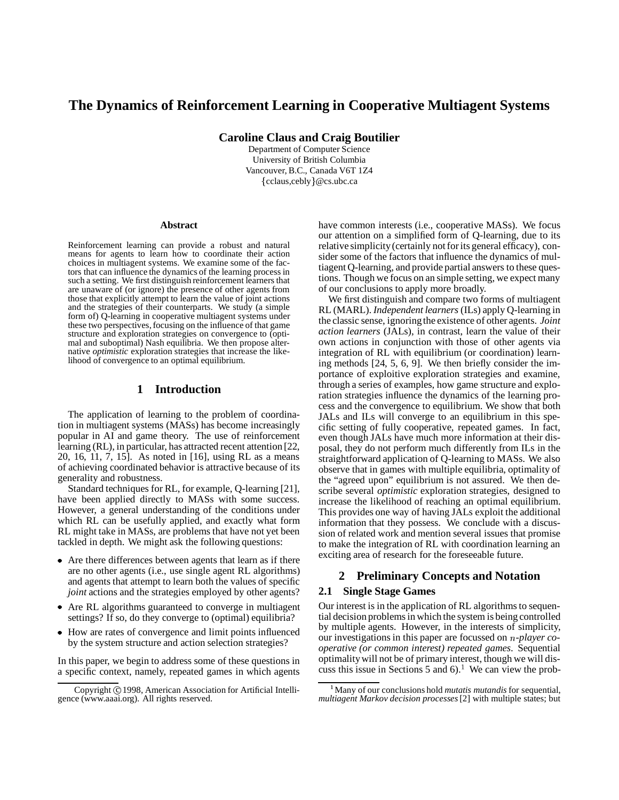# **The Dynamics of Reinforcement Learning in Cooperative Multiagent Systems**

**Caroline Claus and Craig Boutilier**

Department of Computer Science University of British Columbia Vancouver, B.C., Canada V6T 1Z4 cclaus,cebly @cs.ubc.ca

#### **Abstract**

Reinforcement learning can provide a robust and natural means for agents to learn how to coordinate their action choices in multiagent systems. We examine some of the factors that can influence the dynamics of the learning processin such a setting. We first distinguish reinforcement learners that are unaware of (or ignore) the presence of other agents from those that explicitly attempt to learn the value of joint actions and the strategies of their counterparts. We study (a simple form of) Q-learning in cooperative multiagent systems under these two perspectives, focusing on the influence of that game structure and exploration strategies on convergence to (optimal and suboptimal) Nash equilibria. We then propose alternative *optimistic* exploration strategies that increase the likelihood of convergence to an optimal equilibrium.

### **1 Introduction**

The application of learning to the problem of coordination in multiagent systems (MASs) has become increasingly popular in AI and game theory. The use of reinforcement learning (RL), in particular, has attracted recent attention [22, 20, 16, 11, 7, 15]. As noted in [16], using RL as a means of achieving coordinated behavior is attractive because of its generality and robustness.

Standard techniques for RL, for example, Q-learning [21], have been applied directly to MASs with some success. However, a general understanding of the conditions under which RL can be usefully applied, and exactly what form RL might take in MASs, are problems that have not yet been tackled in depth. We might ask the following questions:

- Are there differences between agents that learn as if there are no other agents (i.e., use single agent RL algorithms) and agents that attempt to learn both the values of specific *joint* actions and the strategies employed by other agents?
- Are RL algorithms guaranteed to converge in multiagent settings? If so, do they converge to (optimal) equilibria?
- How are rates of convergence and limit points influenced by the system structure and action selection strategies?

In this paper, we begin to address some of these questions in a specific context, namely, repeated games in which agents have common interests (i.e., cooperative MASs). We focus our attention on a simplified form of Q-learning, due to its relative simplicity (certainly not for its general efficacy), consider some of the factors that influence the dynamics of multiagent Q-learning, and provide partial answers to these questions. Though we focus on an simple setting, we expect many of our conclusions to apply more broadly.

We first distinguish and compare two forms of multiagent RL (MARL). *Independent learners* (ILs) apply Q-learning in the classic sense, ignoringthe existence of other agents. *Joint action learners* (JALs), in contrast, learn the value of their own actions in conjunction with those of other agents via integration of RL with equilibrium (or coordination) learning methods [24, 5, 6, 9]. We then briefly consider the importance of exploitive exploration strategies and examine, through a series of examples, how game structure and exploration strategies influence the dynamics of the learning process and the convergence to equilibrium. We show that both JALs and ILs will converge to an equilibrium in this specific setting of fully cooperative, repeated games. In fact, even though JALs have much more information at their disposal, they do not perform much differently from ILs in the straightforward application of Q-learning to MASs. We also observe that in games with multiple equilibria, optimality of the "agreed upon" equilibrium is not assured. We then describe several *optimistic* exploration strategies, designed to increase the likelihood of reaching an optimal equilibrium. This provides one way of having JALs exploit the additional information that they possess. We conclude with a discussion of related work and mention several issues that promise to make the integration of RL with coordination learning an exciting area of research for the foreseeable future.

## **2 Preliminary Concepts and Notation**

### **2.1 Single Stage Games**

Our interest is in the application of RL algorithms to sequential decision problemsin which the system is being controlled by multiple agents. However, in the interests of simplicity, our investigations in this paper are focussed on *n*-player co*operative (or common interest) repeated games*. Sequential optimalitywill not be of primary interest, though we will discuss this issue in Sections 5 and  $6$ .<sup>1</sup> We can view the prob-

Copyright © 1998, American Association for Artificial Intelligence (www.aaai.org). All rights reserved.

Many of our conclusions hold *mutatis mutandis*for sequential, *multiagent Markov decision processes*[2] with multiple states; but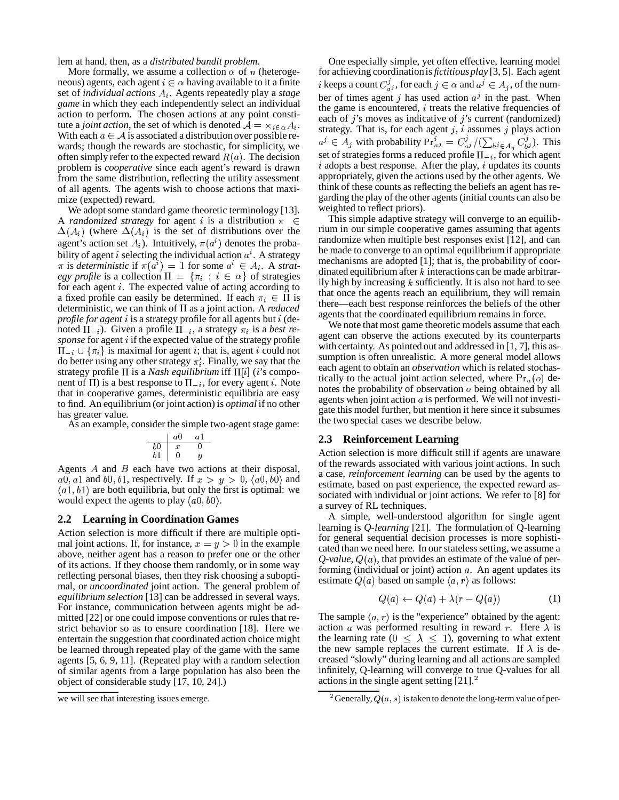lem at hand, then, as a *distributed bandit problem*.

More formally, we assume a collection  $\alpha$  of *n* (heterogeneous) agents, each agent  $i \in \alpha$  having available to it a finite set of *individual actions*  $A_i$ . Agents repeatedly play a *stage game* in which they each independently select an individual action to perform. The chosen actions at any point constitute a *joint action*, the set of which is denoted  $A = \times_{i \in \alpha} A_i$ . With each  $a \in \mathcal{A}$  is associated a distribution over possible rewards; though the rewards are stochastic, for simplicity, we often simply refer to the expected reward  $R(a)$ . The decision problem is *cooperative* since each agent's reward is drawn from the same distribution, reflecting the utility assessment of all agents. The agents wish to choose actions that maximize (expected) reward.

We adopt some standard game theoretic terminology [13]. A *randomized* strategy for agent i is a distribution  $\pi \in$  $\epsilon$  $\Delta(A_i)$  (where  $\Delta(A_i)$  is the set of distributions over the agent's action set  $A_i$ ). Intuitively,  $\pi(a^i)$  denotes the probability of agent *i* selecting the individual action  $a^i$ . A strategy  $\pi$  is *deterministic* if  $\pi(a^i) = 1$  for some  $a^i \in A_i$ . A *strategy profile* is a collection  $\Pi = {\pi_i : i \in \alpha}$  of strategies for each agent *i*. The expected value of acting according to a fixed profile can easily be determined. If each  $\pi_i \in \Pi$  is the set deterministic, we can think of  $\Pi$  as a joint action. A *reduced profile for agent* is a strategy profile for all agents but (denoted  $\Pi_{-i}$ ). Given a profile  $\Pi_{-i}$ , a strategy  $\pi_i$  is a *best re*sponse for agent *i* if the expected value of the strategy profile  $\Pi_{-i} \cup {\pi_i}$  is maximal for agent *i*; that is, agent *i* could not do better using any other strategy  $\pi_i'$ . Finally, we say that the strategy profile  $\Pi$  is a *Nash equilibrium* iff  $\Pi[i]$  (*i*'s component of  $\Pi$ ) is a best response to  $\Pi_{-i}$ , for every agent *i*. Note that in cooperative games, deterministic equilibria are easy to find. An equilibrium (or joint action) is *optimal* if no other has greater value.

As an example, consider the simple two-agent stage game:

$$
\begin{array}{c|cc}\n & a0 & a1 \\
\hline\nb0 & x & 0 \\
b1 & 0 & y\n\end{array}
$$

Agents  $A$  and  $B$  each have two actions at their disposal,  $a0, a1$  and  $b0, b1$ , respectively. If  $x > y > 0$ ,  $\langle a0, b0 \rangle$  and  $\langle a1, b1 \rangle$  are both equilibria, but only the first is optimal: we would expect the agents to play  $\langle a0, b0 \rangle$ .

#### **2.2 Learning in Coordination Games**

Action selection is more difficult if there are multiple optimal joint actions. If, for instance,  $x = y > 0$  in the example above, neither agent has a reason to prefer one or the other of its actions. If they choose them randomly, or in some way reflecting personal biases, then they risk choosing a suboptimal, or *uncoordinated* joint action. The general problem of *equilibrium selection* [13] can be addressed in several ways. For instance, communication between agents might be admitted [22] or one could impose conventions or rules that restrict behavior so as to ensure coordination [18]. Here we entertain the suggestion that coordinated action choice might be learned through repeated play of the game with the same agents [5, 6, 9, 11]. (Repeated play with a random selection of similar agents from a large population has also been the object of considerable study [17, 10, 24].)

One especially simple, yet often effective, learning model for achieving coordinationis *fictitiousplay* [3, 5]. Each agent i keeps a count  $C_{ai}^j$ , for each  $j \in \alpha$  and  $a^j \in A_j$ , of the number of times agent j has used action  $a<sup>j</sup>$  in the past. When the game is encountered,  $i$  treats the relative frequencies of each of  $j$ 's moves as indicative of  $j$ 's current (randomized) strategy. That is, for each agent  $j$ ,  $i$  assumes  $j$  plays action  $a^j \in A_j$  with probability  $Pr_{a^j}^i = C_{a^j}^j / (\sum_{b^j \in A_j} C_{b^j}^j)$ . This set of strategies forms a reduced profile  $\Pi_{-i}$ , for which agent  $i$  adopts a best response. After the play,  $i$  updates its counts appropriately, given the actions used by the other agents. We think of these counts as reflecting the beliefs an agent has regarding the play of the other agents (initial counts can also be weighted to reflect priors).

 This simple adaptive strategy will converge to an equilib that once the agents reach an equilibrium, they will remain rium in our simple cooperative games assuming that agents randomize when multiple best responses exist [12], and can be made to converge to an optimal equilibriumif appropriate mechanisms are adopted [1]; that is, the probability of coordinated equilibrium after  $k$  interactions can be made arbitrarily high by increasing  $k$  sufficiently. It is also not hard to see there—each best response reinforces the beliefs of the other agents that the coordinated equilibrium remains in force.

We note that most game theoretic models assume that each agent can observe the actions executed by its counterparts with certainty. As pointed out and addressed in [1, 7], this assumption is often unrealistic. A more general model allows each agent to obtain an *observation* which is related stochastically to the actual joint action selected, where  $Pr_a(o)$  denotes the probability of observation  $\sigma$  being obtained by all agents when joint action  $a$  is performed. We will not investigate this model further, but mention it here since it subsumes the two special cases we describe below.

#### **2.3 Reinforcement Learning**

Action selection is more difficult still if agents are unaware of the rewards associated with various joint actions. In such a case, *reinforcement learning* can be used by the agents to estimate, based on past experience, the expected reward associated with individual or joint actions. We refer to [8] for a survey of RL techniques.

A simple, well-understood algorithm for single agent learning is *Q-learning* [21]. The formulation of Q-learning for general sequential decision processes is more sophisticated than we need here. In our stateless setting, we assume a  $Q$ -value,  $Q(a)$ , that provides an estimate of the value of performing (individual or joint) action  $a$ . An agent updates its estimate  $Q(a)$  based on sample  $\langle a, r \rangle$  as follows:

$$
Q(a) \leftarrow Q(a) + \lambda (r - Q(a)) \tag{1}
$$

The sample  $\langle a, r \rangle$  is the "experience" obtained by the agent: action *a* was performed resulting in reward r. Here  $\lambda$  is the learning rate  $(0 \le \lambda \le 1)$ , governing to what extent the new sample replaces the current estimate. If  $\lambda$  is decreased "slowly" during learning and all actions are sampled infinitely, Q-learning will converge to true Q-values for all actions in the single agent setting  $[21].<sup>2</sup>$ 

we will see that interesting issues emerge.

 $^2$ Generally,  $Q(a, s)$  is taken to denote the long-term value of per-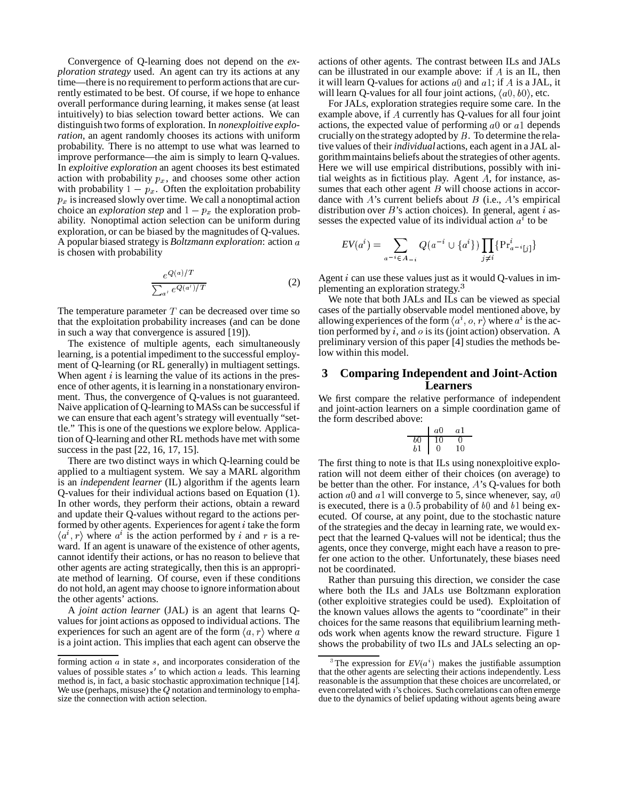Convergence of Q-learning does not depend on the *exploration strategy* used. An agent can try its actions at any time—there is no requirement to perform actions that are currently estimated to be best. Of course, if we hope to enhance overall performance during learning, it makes sense (at least intuitively) to bias selection toward better actions. We can distinguish two forms of exploration. In *nonexploitive exploration*, an agent randomly chooses its actions with uniform probability. There is no attempt to use what was learned to improve performance—the aim is simply to learn Q-values. In *exploitive exploration* an agent chooses its best estimated action with probability  $p_x$ , and chooses some other action with probability  $1 - p_x$ . Often the exploitation probability  $p_x$  is increased slowly over time. We call a nonoptimal action choice an *exploration step* and  $1 - p_x$  the exploration probability. Nonoptimal action selection can be uniform during exploration, or can be biased by the magnitudes of Q-values. A popular biased strategy is *Boltzmann exploration*: action is chosen with probability

$$
\frac{e^{Q(a)/T}}{\sum_{a'} e^{Q(a')/T}}
$$
 (2)

The temperature parameter  $T$  can be decreased over time so that the exploitation probability increases (and can be done in such a way that convergence is assured [19]).

The existence of multiple agents, each simultaneously learning, is a potential impediment to the successful employment of Q-learning (or RL generally) in multiagent settings. When agent  $i$  is learning the value of its actions in the presence of other agents, it is learning in a nonstationary environment. Thus, the convergence of Q-values is not guaranteed. Naive application of Q-learning to MASs can be successful if we can ensure that each agent's strategy will eventually "settle." This is one of the questions we explore below. Application of Q-learning and other RL methods have met with some success in the past [22, 16, 17, 15].

There are two distinct ways in which Q-learning could be applied to a multiagent system. We say a MARL algorithm is an *independent learner* (IL) algorithm if the agents learn Q-values for their individual actions based on Equation (1). In other words, they perform their actions, obtain a reward and update their Q-values without regard to the actions performed by other agents. Experiences for agent  $i$  take the form  $\langle a^i, r \rangle$  where  $a^i$  is the action performed by i and r is a reward. If an agent is unaware of the existence of other agents, cannot identify their actions, or has no reason to believe that other agents are acting strategically, then this is an appropriate method of learning. Of course, even if these conditions do not hold, an agent may choose to ignore informationabout the other agents' actions.

A *joint action learner* (JAL) is an agent that learns Qvalues for joint actions as opposed to individual actions. The experiences for such an agent are of the form  $\langle a, r \rangle$  where a is a joint action. This implies that each agent can observe the actions of other agents. The contrast between ILs and JALs can be illustrated in our example above: if  $A$  is an IL, then it will learn O-values for actions  $a\theta$  and  $a\theta$ ; if A is a JAL, it will learn O-values for all four joint actions,  $\langle a0, b0 \rangle$ , etc.

For JALs, exploration strategies require some care. In the example above, if  $A$  currently has Q-values for all four joint actions, the expected value of performing  $a\theta$  or  $a\theta$  depends crucially on the strategy adopted by  $B$ . To determine the relative values of their *individual* actions, each agent in a JAL algorithmmaintains beliefs about the strategies of other agents. Here we will use empirical distributions, possibly with initial weights as in fictitious play. Agent  $A$ , for instance, assumes that each other agent  $B$  will choose actions in accordance with  $A$ 's current beliefs about  $B$  (i.e.,  $A$ 's empirical distribution over  $B$ 's action choices). In general, agent *i* assesses the expected value of its individual action  $a^i$  to be

$$
EV(a^i) = \sum_{a^{-i} \in A_{-i}} Q(a^{-i} \cup \{a^i\}) \prod_{j \neq i} \{Pr_{a^{-i}[j]}^i\}
$$

Agent  $i$  can use these values just as it would Q-values in implementing an exploration strategy.<sup>3</sup>

We note that both JALs and ILs can be viewed as special cases of the partially observable model mentioned above, by allowing experiences of the form  $\langle a^i, o, r \rangle$  where  $a^i$  is the action performed by  $i$ , and  $o$  is its (joint action) observation. A preliminary version of this paper [4] studies the methods below within this model.

## **3 Comparing Independent and Joint-Action Learners**

We first compare the relative performance of independent and joint-action learners on a simple coordination game of the form described above:

$$
\begin{array}{c|cc}\n & a0 & a1 \\
\hline\nb0 & 10 & 0 \\
b1 & 0 & 10\n\end{array}
$$

The first thing to note is that ILs using nonexploitive exploration will not deem either of their choices (on average) to be better than the other. For instance,  $A$ 's Q-values for both action  $a_0$  and  $a_1$  will converge to 5, since whenever, say,  $a_0$ is executed, there is a  $0.5$  probability of  $b0$  and  $b1$  being executed. Of course, at any point, due to the stochastic nature of the strategies and the decay in learning rate, we would expect that the learned Q-values will not be identical; thus the agents, once they converge, might each have a reason to prefer one action to the other. Unfortunately, these biases need not be coordinated.

Rather than pursuing this direction, we consider the case where both the ILs and JALs use Boltzmann exploration (other exploitive strategies could be used). Exploitation of the known values allows the agents to "coordinate" in their choices for the same reasons that equilibrium learning methods work when agents know the reward structure. Figure 1 shows the probability of two ILs and JALs selecting an op-

forming action  $a$  in state  $s$ , and incorporates consideration of the values of possible states  $s'$  to which action  $a$  leads. This learning method is, in fact, a basic stochastic approximation technique [14]. We use (perhaps, misuse) the  $Q$  notation and terminology to emphasize the connection with action selection.

<sup>&</sup>lt;sup>3</sup>The expression for  $EV(a^i)$  makes the justifiable assumption that the other agents are selecting their actions independently. Less reasonable is the assumption that these choices are uncorrelated, or even correlated with i's choices. Such correlations can often emerge due to the dynamics of belief updating without agents being aware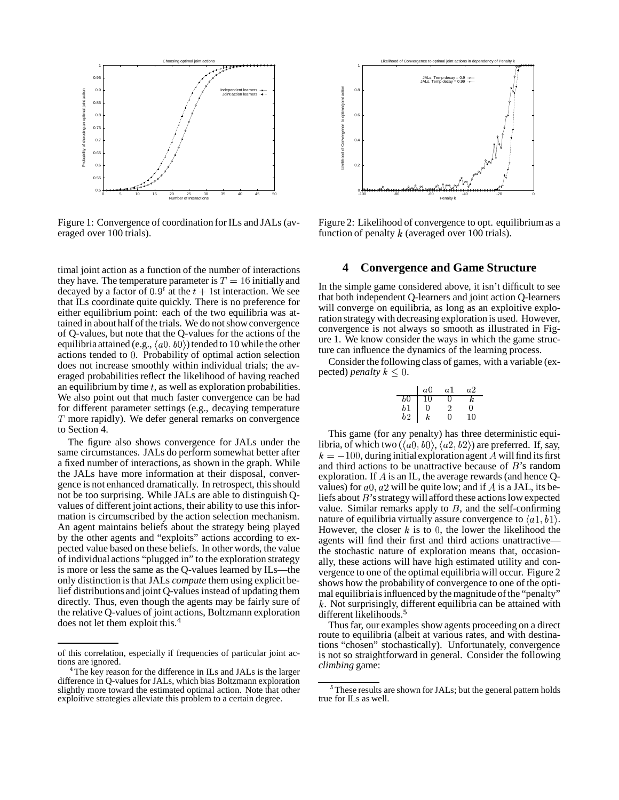

Figure 1: Convergence of coordination for ILs and JALs (averaged over 100 trials).

timal joint action as a function of the number of interactions they have. The temperature parameter is  $T = 16$  initially and decayed by a factor of  $0.9<sup>t</sup>$  at the  $t + 1$ st interaction. We see that ILs coordinate quite quickly. There is no preference for either equilibrium point: each of the two equilibria was attained in about half of the trials. We do not show convergence of Q-values, but note that the Q-values for the actions of the equilibria attained (e.g.,  $\langle a0, b0 \rangle$ ) tended to 10 while the other actions tended to 0. Probability of optimal action selection does not increase smoothly within individual trials; the averaged probabilities reflect the likelihood of having reached an equilibrium by time  $t$ , as well as exploration probabilities. We also point out that much faster convergence can be had for different parameter settings (e.g., decaying temperature  $T$  more rapidly). We defer general remarks on convergence to Section 4.

The figure also shows convergence for JALs under the same circumstances. JALs do perform somewhat better after a fixed number of interactions, as shown in the graph. While the JALs have more information at their disposal, convergence is not enhanced dramatically. In retrospect, this should not be too surprising. While JALs are able to distinguish Qvalues of different joint actions, their ability to use this information is circumscribed by the action selection mechanism. An agent maintains beliefs about the strategy being played by the other agents and "exploits" actions according to expected value based on these beliefs. In other words, the value of individual actions "plugged in" to the exploration strategy is more or less the same as the Q-values learned by ILs—the only distinction is that JALs *compute* them using explicit belief distributions and joint Q-values instead of updating them directly. Thus, even though the agents may be fairly sure of the relative Q-values of joint actions, Boltzmann exploration does not let them exploit this.<sup>4</sup>



Figure 2: Likelihood of convergence to opt. equilibriumas a function of penalty  $k$  (averaged over 100 trials).

### **4 Convergence and Game Structure**

In the simple game considered above, it isn't difficult to see that both independent Q-learners and joint action Q-learners will converge on equilibria, as long as an exploitive exploration strategy with decreasing exploration is used. However, convergence is not always so smooth as illustrated in Figure 1. We know consider the ways in which the game structure can influence the dynamics of the learning process.

Consider the following class of games, with a variable (expected) *penalty*  $k \leq 0$ .

|                                              | a0              | -a1 | а2 |
|----------------------------------------------|-----------------|-----|----|
|                                              | $\overline{10}$ |     |    |
|                                              |                 |     | Ω  |
| $\begin{bmatrix} b0 \ b1 \ b2 \end{bmatrix}$ | $\kappa$        | Ω   | 10 |

This game (for any penalty) has three deterministic equilibria, of which two ( $\langle a0, b0 \rangle$ ,  $\langle a2, b2 \rangle$ ) are preferred. If, say,  $k = -100$ , during initial exploration agent A will find its first and third actions to be unattractive because of  $B$ 's random exploration. If  $\vec{A}$  is an IL, the average rewards (and hence Qvalues) for  $a0$ ,  $a2$  will be quite low; and if A is a JAL, its beliefs about  $B$ 's strategy will afford these actions low expected value. Similar remarks apply to  $B$ , and the self-confirming nature of equilibria virtually assure convergence to  $\langle a1, b1 \rangle$ . However, the closer  $k$  is to 0, the lower the likelihood the agents will find their first and third actions unattractive the stochastic nature of exploration means that, occasionally, these actions will have high estimated utility and convergence to one of the optimal equilibria will occur. Figure 2 shows how the probability of convergence to one of the optimal equilibria is influenced by the magnitude of the "penalty" k. Not surprisingly, different equilibria can be attained with different likelihoods.<sup>5</sup>

Thus far, our examples show agents proceeding on a direct route to equilibria (albeit at various rates, and with destinations "chosen" stochastically). Unfortunately, convergence is not so straightforward in general. Consider the following *climbing* game:

of this correlation, especially if frequencies of particular joint actions are ignored.

<sup>&</sup>lt;sup>4</sup>The key reason for the difference in ILs and JALs is the larger difference in Q-values for JALs, which bias Boltzmann exploration slightly more toward the estimated optimal action. Note that other exploitive strategies alleviate this problem to a certain degree.

 $5$ These results are shown for JALs; but the general pattern holds true for ILs as well.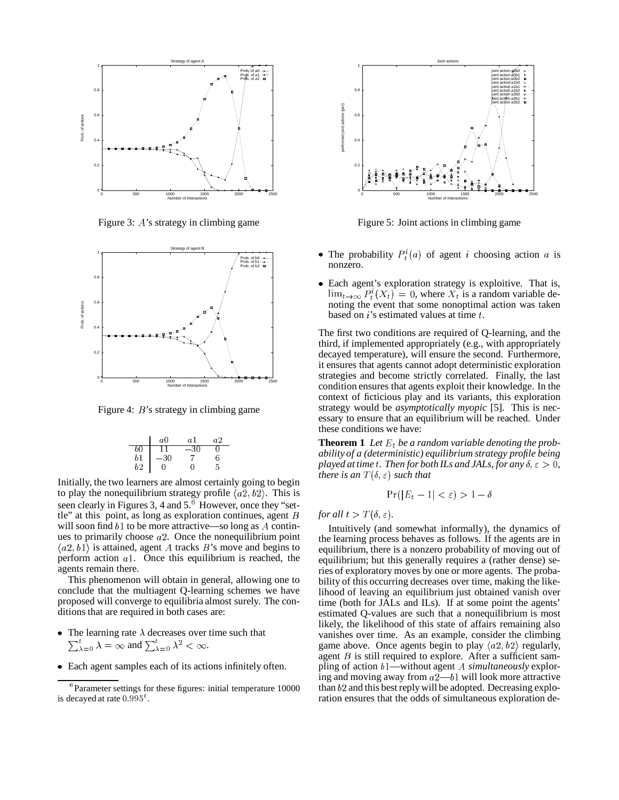

Figure 3:  $A$ 's strategy in climbing game



Figure 4:  $B$ 's strategy in climbing game

$$
\begin{array}{c|cccc}\n & a0 & a1 & a2 \\
b0 & 11 & -30 & 0 \\
b1 & -30 & 7 & 6 \\
b2 & 0 & 0 & 5\n\end{array}
$$

Initially, the two learners are almost certainly going to begin to play the nonequilibrium strategy profile  $\langle a\overline{2}, b\overline{2} \rangle$ . This is seen clearly in Figures 3, 4 and 5.<sup>6</sup> However, once they "settle" at this point, as long as exploration continues, agent  $B$ will soon find  $b1$  to be more attractive—so long as  $A$  continues to primarily choose  $a2$ . Once the nonequilibrium point  $\langle a2, b1 \rangle$  is attained, agent A tracks B's move and begins to perform action  $a$ 1. Once this equilibrium is reached, the agents remain there.

This phenomenon will obtain in general, allowing one to conclude that the multiagent Q-learning schemes we have proposed will converge to equilibria almost surely. The conditions that are required in both cases are:

- The learning rate  $\lambda$  decreases over time such that  $\sum_{\lambda=0}^{i} \lambda = \infty$  and  $\sum_{\lambda=0}^{i} \lambda^2 < \infty$ .
- Each agent samples each of its actions infinitely often.



Figure 5: Joint actions in climbing game

- The probability  $P_t^i(a)$  of agent *i* choosing action *a* is nonzero.
- Each agent's exploration strategy is exploitive. That is,  $\lim_{t\to\infty} P_t^i(X_t) = 0$ , where  $X_t$  is a random variable de noting the event that some nonoptimal action was taken based on  $i$ 's estimated values at time  $t$ .

The first two conditions are required of Q-learning, and the third, if implemented appropriately (e.g., with appropriately decayed temperature), will ensure the second. Furthermore, it ensures that agents cannot adopt deterministic exploration strategies and become strictly correlated. Finally, the last condition ensures that agents exploit their knowledge. In the context of ficticious play and its variants, this exploration strategy would be *asymptotically myopic* [5]. This is necessary to ensure that an equilibrium will be reached. Under these conditions we have:

**Theorem 1** Let  $E_t$  be a random variable denoting the prob *ability of a (deterministic) equilibrium strategy profile being played at time t. Then for both ILs and JALs*, *for any*  $\delta, \epsilon > 0$ , *there is an*  $T(\delta, \varepsilon)$  *such that* 

$$
\Pr(|E_t - 1| < \varepsilon) > 1 - \delta
$$

*for all*  $t > T(\delta, \varepsilon)$ *.* 

Intuitively (and somewhat informally), the dynamics of the learning process behaves as follows. If the agents are in equilibrium, there is a nonzero probability of moving out of equilibrium; but this generally requires a (rather dense) series of exploratory moves by one or more agents. The probability of this occurring decreases over time, making the likelihood of leaving an equilibrium just obtained vanish over time (both for JALs and ILs). If at some point the agents' estimated Q-values are such that a nonequilibrium is most likely, the likelihood of this state of affairs remaining also vanishes over time. As an example, consider the climbing game above. Once agents begin to play  $\langle a2, b2 \rangle$  regularly, agent  $B$  is still required to explore. After a sufficient sampling of action  $b1$ —without agent  $\Lambda$  simultaneously exploring and moving away from  $a2-b1$  will look more attractive than  $b2$  and this best reply will be adopted. Decreasing exploration ensures that the odds of simultaneous exploration de-

 ${}^{6}$ Parameter settings for these figures: initial temperature 10000 is decayed at rate  $0.995<sup>t</sup>$ .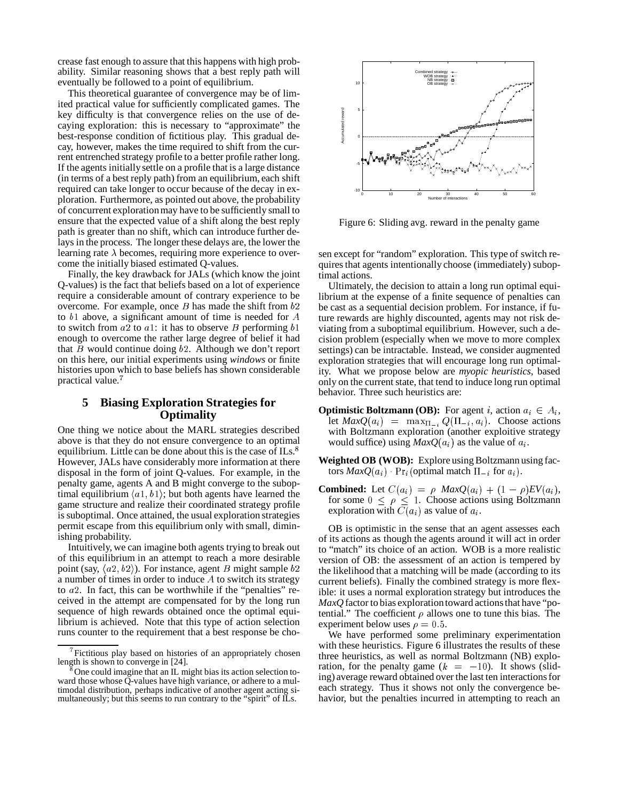crease fast enough to assure that this happens with high probability. Similar reasoning shows that a best reply path will eventually be followed to a point of equilibrium.

This theoretical guarantee of convergence may be of limited practical value for sufficiently complicated games. The key difficulty is that convergence relies on the use of decaying exploration: this is necessary to "approximate" the best-response condition of fictitious play. This gradual decay, however, makes the time required to shift from the current entrenched strategy profile to a better profile rather long. If the agents initiallysettle on a profile that is a large distance (in terms of a best reply path) from an equilibrium, each shift required can take longer to occur because of the decay in exploration. Furthermore, as pointed out above, the probability of concurrent explorationmay have to be sufficiently small to ensure that the expected value of a shift along the best reply path is greater than no shift, which can introduce further delays in the process. The longer these delays are, the lower the learning rate  $\lambda$  becomes, requiring more experience to overcome the initially biased estimated Q-values.

Finally, the key drawback for JALs (which know the joint Q-values) is the fact that beliefs based on a lot of experience require a considerable amount of contrary experience to be overcome. For example, once  $B$  has made the shift from  $b2$ to  $b1$  above, a significant amount of time is needed for  $A$ to switch from  $a2$  to  $a1$ : it has to observe B performing  $b1$ enough to overcome the rather large degree of belief it had that  $B$  would continue doing  $b2$ . Although we don't report on this here, our initial experiments using *windows* or finite histories upon which to base beliefs has shown considerable practical value.

## **5 Biasing Exploration Strategies for Optimality**

One thing we notice about the MARL strategies described above is that they do not ensure convergence to an optimal equilibrium. Little can be done about this is the case of ILs.<sup>8</sup> However, JALs have considerably more information at there disposal in the form of joint Q-values. For example, in the penalty game, agents A and B might converge to the suboptimal equilibrium  $\langle a1, b1 \rangle$ ; but both agents have learned the game structure and realize their coordinated strategy profile is suboptimal. Once attained, the usual exploration strategies permit escape from this equilibrium only with small, diminishing probability.

Intuitively, we can imagine both agents trying to break out of this equilibrium in an attempt to reach a more desirable point (say,  $\langle a2, b2 \rangle$ ). For instance, agent *B* might sample b2 a number of times in order to induce  $A$  to switch its strategy to  $a2$ . In fact, this can be worthwhile if the "penalties" received in the attempt are compensated for by the long run sequence of high rewards obtained once the optimal equilibrium is achieved. Note that this type of action selection runs counter to the requirement that a best response be cho-



Figure 6: Sliding avg. reward in the penalty game

sen except for "random" exploration. This type of switch requires that agents intentionally choose (immediately) suboptimal actions.

Ultimately, the decision to attain a long run optimal equilibrium at the expense of a finite sequence of penalties can be cast as a sequential decision problem. For instance, if future rewards are highly discounted, agents may not risk deviating from a suboptimal equilibrium. However, such a decision problem (especially when we move to more complex settings) can be intractable. Instead, we consider augmented exploration strategies that will encourage long run optimality. What we propose below are *myopic heuristics*, based only on the current state, that tend to induce long run optimal behavior. Three such heuristics are:

- **Optimistic Boltzmann (OB):** For agent i, action  $a_i \in A_i$ , let  $MaxQ(a_i) = \max_{\Pi_{-i}} Q(\Pi_{-i}, a_i)$ . Choose actions with Boltzmann exploration (another exploitive strategy would suffice) using  $MaxQ(a_i)$  as the value of  $a_i$ .
- **Weighted OB** (WOB): Explore using Boltzmann using factors  $MaxQ(a_i)$  ·  $Pr_i$  (optimal match  $\Pi_{-i}$  for  $a_i$ ).
- **Combined:** Let  $C(a_i) = \rho$   $MaxQ(a_i) + (1 \rho)EV(a_i)$ , for some  $0 \leq \rho \leq 1$ . Choose actions using Boltzmann exploration with  $\overline{C}(a_i)$  as value of  $a_i$ .

OB is optimistic in the sense that an agent assesses each of its actions as though the agents around it will act in order to "match" its choice of an action. WOB is a more realistic version of OB: the assessment of an action is tempered by the likelihood that a matching will be made (according to its current beliefs). Finally the combined strategy is more flexible: it uses a normal exploration strategy but introduces the *MaxQ* factor to bias exploration toward actions that have "potential." The coefficient  $\rho$  allows one to tune this bias. The experiment below uses  $\rho = 0.5$ .

We have performed some preliminary experimentation with these heuristics. Figure 6 illustrates the results of these three heuristics, as well as normal Boltzmann (NB) exploration, for the penalty game  $(k = -10)$ . It shows (sliding) average reward obtained over the last ten interactionsfor each strategy. Thus it shows not only the convergence behavior, but the penalties incurred in attempting to reach an

<sup>&</sup>lt;sup>7</sup> Fictitious play based on histories of an appropriately chosen length is shown to converge in [24].

<sup>&</sup>lt;sup>8</sup> One could imagine that an IL might bias its action selection toward those whose Q-values have high variance, or adhere to a multimodal distribution, perhaps indicative of another agent acting simultaneously; but this seems to run contrary to the "spirit" of  $\overline{L}$ s.